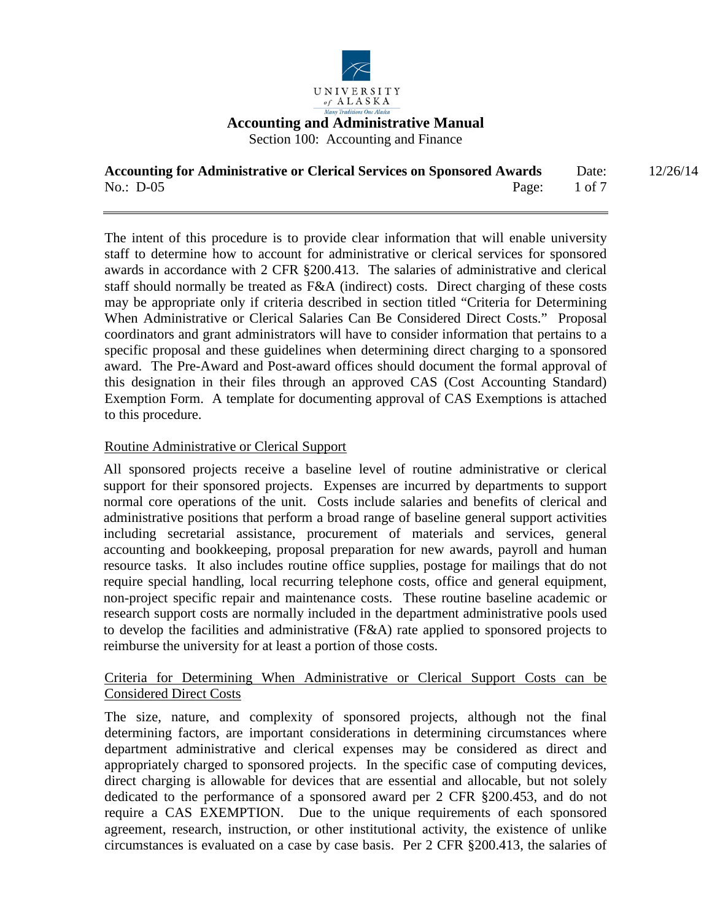

Section 100: Accounting and Finance

| <b>Accounting for Administrative or Clerical Services on Sponsored Awards</b> |       | Date:    | 12/26/14 |
|-------------------------------------------------------------------------------|-------|----------|----------|
| No.: $D-05$                                                                   | Page: | $1$ of 7 |          |

The intent of this procedure is to provide clear information that will enable university staff to determine how to account for administrative or clerical services for sponsored awards in accordance with 2 CFR §200.413. The salaries of administrative and clerical staff should normally be treated as F&A (indirect) costs. Direct charging of these costs may be appropriate only if criteria described in section titled "Criteria for Determining When Administrative or Clerical Salaries Can Be Considered Direct Costs." Proposal coordinators and grant administrators will have to consider information that pertains to a specific proposal and these guidelines when determining direct charging to a sponsored award. The Pre-Award and Post-award offices should document the formal approval of this designation in their files through an approved CAS (Cost Accounting Standard) Exemption Form. A template for documenting approval of CAS Exemptions is attached to this procedure.

# Routine Administrative or Clerical Support

All sponsored projects receive a baseline level of routine administrative or clerical support for their sponsored projects. Expenses are incurred by departments to support normal core operations of the unit. Costs include salaries and benefits of clerical and administrative positions that perform a broad range of baseline general support activities including secretarial assistance, procurement of materials and services, general accounting and bookkeeping, proposal preparation for new awards, payroll and human resource tasks. It also includes routine office supplies, postage for mailings that do not require special handling, local recurring telephone costs, office and general equipment, non-project specific repair and maintenance costs. These routine baseline academic or research support costs are normally included in the department administrative pools used to develop the facilities and administrative (F&A) rate applied to sponsored projects to reimburse the university for at least a portion of those costs.

## Criteria for Determining When Administrative or Clerical Support Costs can be Considered Direct Costs

The size, nature, and complexity of sponsored projects, although not the final determining factors, are important considerations in determining circumstances where department administrative and clerical expenses may be considered as direct and appropriately charged to sponsored projects. In the specific case of computing devices, direct charging is allowable for devices that are essential and allocable, but not solely dedicated to the performance of a sponsored award per 2 CFR §200.453, and do not require a CAS EXEMPTION. Due to the unique requirements of each sponsored agreement, research, instruction, or other institutional activity, the existence of unlike circumstances is evaluated on a case by case basis. Per 2 CFR §200.413, the salaries of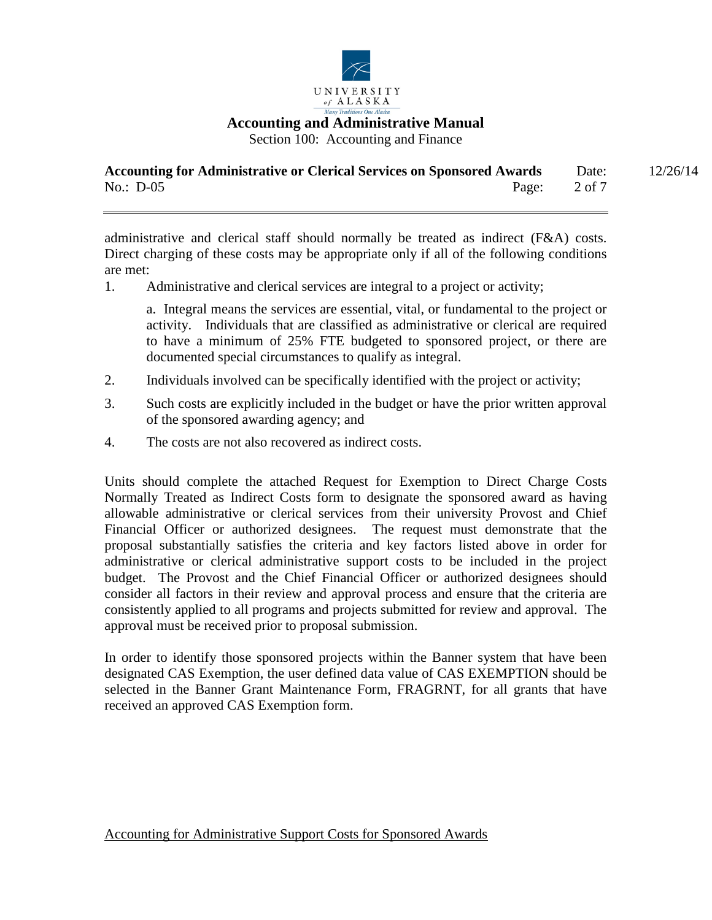

Section 100: Accounting and Finance

| <b>Accounting for Administrative or Clerical Services on Sponsored Awards</b> |       | Date:  | 12/26/14 |
|-------------------------------------------------------------------------------|-------|--------|----------|
| No.: $D-05$                                                                   | Page: | 2 of 7 |          |

administrative and clerical staff should normally be treated as indirect (F&A) costs. Direct charging of these costs may be appropriate only if all of the following conditions are met:

1. Administrative and clerical services are integral to a project or activity;

a. Integral means the services are essential, vital, or fundamental to the project or activity. Individuals that are classified as administrative or clerical are required to have a minimum of 25% FTE budgeted to sponsored project, or there are documented special circumstances to qualify as integral.

- 2. Individuals involved can be specifically identified with the project or activity;
- 3. Such costs are explicitly included in the budget or have the prior written approval of the sponsored awarding agency; and
- 4. The costs are not also recovered as indirect costs.

Units should complete the attached Request for Exemption to Direct Charge Costs Normally Treated as Indirect Costs form to designate the sponsored award as having allowable administrative or clerical services from their university Provost and Chief Financial Officer or authorized designees. The request must demonstrate that the proposal substantially satisfies the criteria and key factors listed above in order for administrative or clerical administrative support costs to be included in the project budget. The Provost and the Chief Financial Officer or authorized designees should consider all factors in their review and approval process and ensure that the criteria are consistently applied to all programs and projects submitted for review and approval. The approval must be received prior to proposal submission.

In order to identify those sponsored projects within the Banner system that have been designated CAS Exemption, the user defined data value of CAS EXEMPTION should be selected in the Banner Grant Maintenance Form, FRAGRNT, for all grants that have received an approved CAS Exemption form.

Accounting for Administrative Support Costs for Sponsored Awards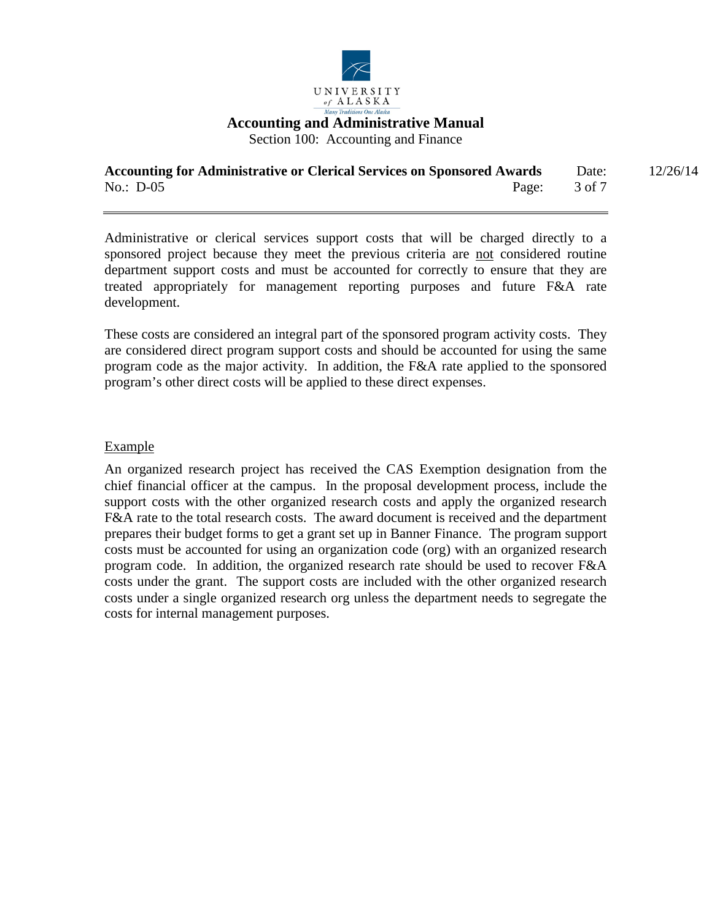

Section 100: Accounting and Finance

| <b>Accounting for Administrative or Clerical Services on Sponsored Awards</b> |       | Date:  | 12/26/14 |
|-------------------------------------------------------------------------------|-------|--------|----------|
| No.: $D-05$                                                                   | Page: | 3 of 7 |          |

Administrative or clerical services support costs that will be charged directly to a sponsored project because they meet the previous criteria are not considered routine department support costs and must be accounted for correctly to ensure that they are treated appropriately for management reporting purposes and future F&A rate development.

These costs are considered an integral part of the sponsored program activity costs. They are considered direct program support costs and should be accounted for using the same program code as the major activity. In addition, the F&A rate applied to the sponsored program's other direct costs will be applied to these direct expenses.

#### Example

An organized research project has received the CAS Exemption designation from the chief financial officer at the campus. In the proposal development process, include the support costs with the other organized research costs and apply the organized research F&A rate to the total research costs. The award document is received and the department prepares their budget forms to get a grant set up in Banner Finance. The program support costs must be accounted for using an organization code (org) with an organized research program code. In addition, the organized research rate should be used to recover F&A costs under the grant. The support costs are included with the other organized research costs under a single organized research org unless the department needs to segregate the costs for internal management purposes.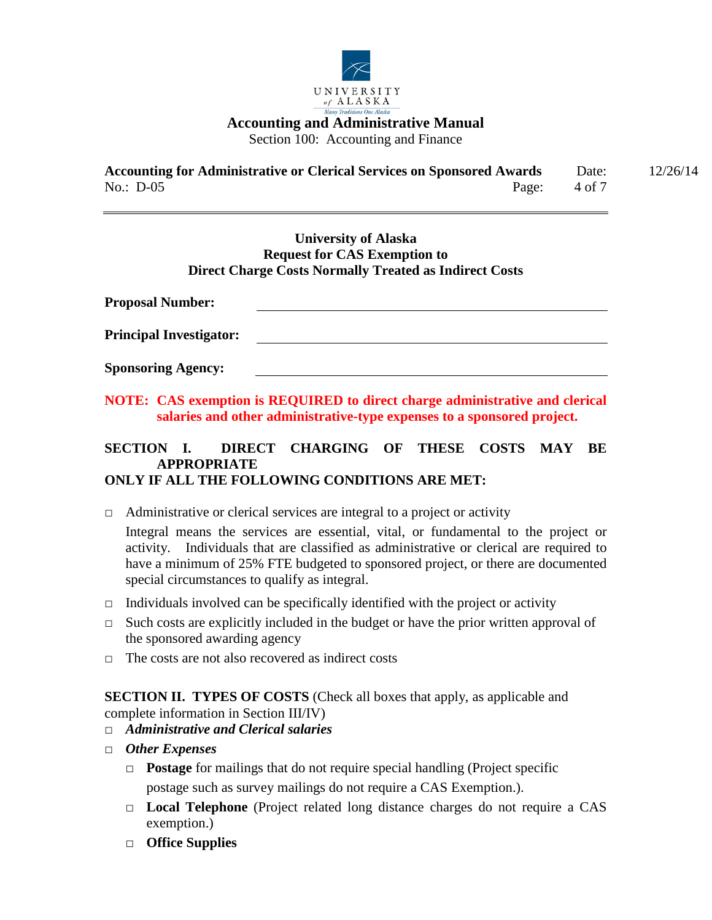

Section 100: Accounting and Finance

| <b>Accounting for Administrative or Clerical Services on Sponsored Awards</b> |                         | Date: | 12/26/14 |
|-------------------------------------------------------------------------------|-------------------------|-------|----------|
| No.: $D-05$                                                                   | Page: $4 \text{ of } 7$ |       |          |

## **University of Alaska Request for CAS Exemption to Direct Charge Costs Normally Treated as Indirect Costs**

**Proposal Number: Principal Investigator: Sponsoring Agency:**

**NOTE: CAS exemption is REQUIRED to direct charge administrative and clerical salaries and other administrative-type expenses to a sponsored project.** 

# **SECTION I. DIRECT CHARGING OF THESE COSTS MAY BE APPROPRIATE ONLY IF ALL THE FOLLOWING CONDITIONS ARE MET:**

*□* Administrative or clerical services are integral to a project or activity

Integral means the services are essential, vital, or fundamental to the project or activity. Individuals that are classified as administrative or clerical are required to have a minimum of 25% FTE budgeted to sponsored project, or there are documented special circumstances to qualify as integral.

- *□* Individuals involved can be specifically identified with the project or activity
- *□* Such costs are explicitly included in the budget or have the prior written approval of the sponsored awarding agency
- *□* The costs are not also recovered as indirect costs

**SECTION II. TYPES OF COSTS** (Check all boxes that apply, as applicable and complete information in Section III/IV)

- *□ Administrative and Clerical salaries*
- *□ Other Expenses*
	- □ **Postage** for mailings that do not require special handling (Project specific postage such as survey mailings do not require a CAS Exemption.).
	- □ **Local Telephone** (Project related long distance charges do not require a CAS exemption.)
	- □ **Office Supplies**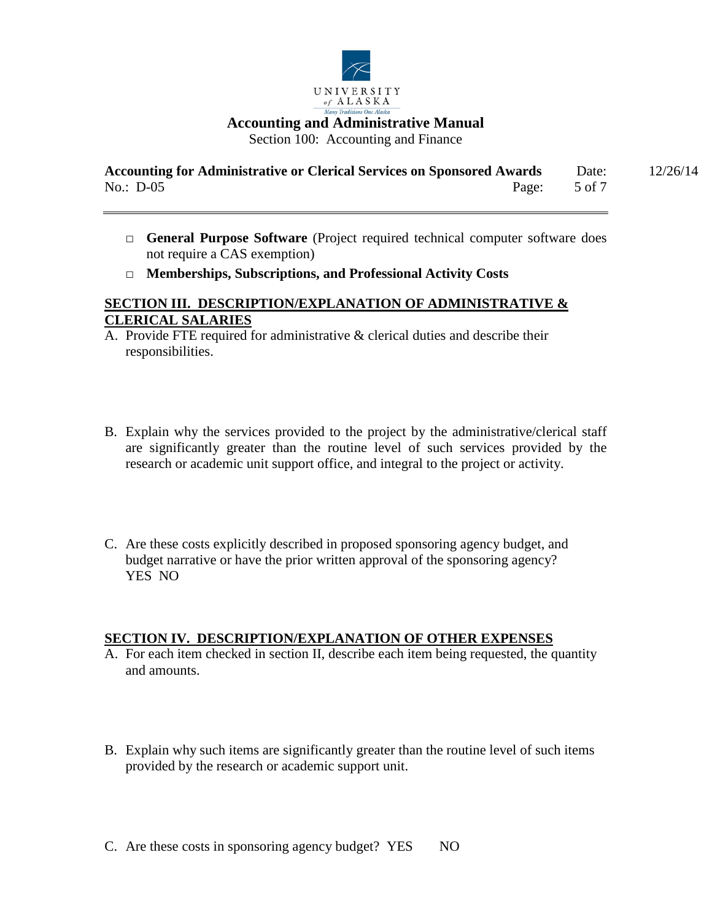

| <b>Accounting for Administrative or Clerical Services on Sponsored Awards</b> |       | Date:  | 12/26/14 |
|-------------------------------------------------------------------------------|-------|--------|----------|
| No.: $D-05$                                                                   | Page: | 5 of 7 |          |

- □ **General Purpose Software** (Project required technical computer software does not require a CAS exemption)
- □ **Memberships, Subscriptions, and Professional Activity Costs**

# **SECTION III. DESCRIPTION/EXPLANATION OF ADMINISTRATIVE & CLERICAL SALARIES**

- A. Provide FTE required for administrative & clerical duties and describe their responsibilities.
- B. Explain why the services provided to the project by the administrative/clerical staff are significantly greater than the routine level of such services provided by the research or academic unit support office, and integral to the project or activity.
- C. Are these costs explicitly described in proposed sponsoring agency budget, and budget narrative or have the prior written approval of the sponsoring agency? YES NO

## **SECTION IV. DESCRIPTION/EXPLANATION OF OTHER EXPENSES**

- A. For each item checked in section II, describe each item being requested, the quantity and amounts.
- B. Explain why such items are significantly greater than the routine level of such items provided by the research or academic support unit.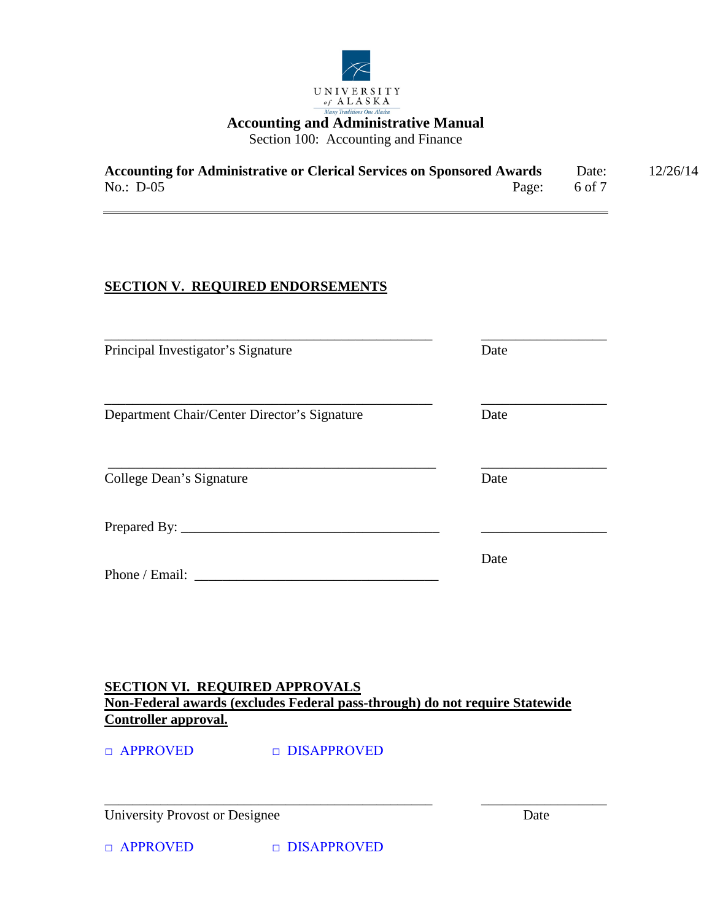

| <b>Accounting for Administrative or Clerical Services on Sponsored Awards</b> |       | Date:  | 12/26/14 |
|-------------------------------------------------------------------------------|-------|--------|----------|
| No.: $D-05$                                                                   | Page: | 6 of 7 |          |

# **SECTION V. REQUIRED ENDORSEMENTS**

| Principal Investigator's Signature           | Date |
|----------------------------------------------|------|
| Department Chair/Center Director's Signature | Date |
| College Dean's Signature                     | Date |
|                                              |      |
| Phone / Email:                               | Date |

**SECTION VI. REQUIRED APPROVALS Non-Federal awards (excludes Federal pass-through) do not require Statewide Controller approval.**

\_\_\_\_\_\_\_\_\_\_\_\_\_\_\_\_\_\_\_\_\_\_\_\_\_\_\_\_\_\_\_\_\_\_\_\_\_\_\_\_\_\_\_\_\_\_\_ \_\_\_\_\_\_\_\_\_\_\_\_\_\_\_\_\_\_

□ APPROVED □ DISAPPROVED

University Provost or Designee Date

□ APPROVED □ DISAPPROVED